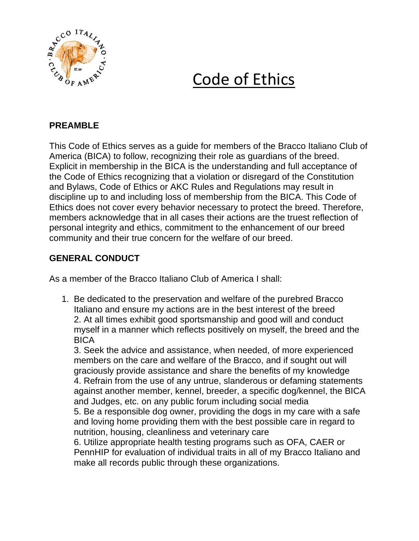

## Code of Ethics

## **PREAMBLE**

This Code of Ethics serves as a guide for members of the Bracco Italiano Club of America (BICA) to follow, recognizing their role as guardians of the breed. Explicit in membership in the BICA is the understanding and full acceptance of the Code of Ethics recognizing that a violation or disregard of the Constitution and Bylaws, Code of Ethics or AKC Rules and Regulations may result in discipline up to and including loss of membership from the BICA. This Code of Ethics does not cover every behavior necessary to protect the breed. Therefore, members acknowledge that in all cases their actions are the truest reflection of personal integrity and ethics, commitment to the enhancement of our breed community and their true concern for the welfare of our breed.

## **GENERAL CONDUCT**

As a member of the Bracco Italiano Club of America I shall:

1. Be dedicated to the preservation and welfare of the purebred Bracco Italiano and ensure my actions are in the best interest of the breed 2. At all times exhibit good sportsmanship and good will and conduct myself in a manner which reflects positively on myself, the breed and the BICA

3. Seek the advice and assistance, when needed, of more experienced members on the care and welfare of the Bracco, and if sought out will graciously provide assistance and share the benefits of my knowledge 4. Refrain from the use of any untrue, slanderous or defaming statements against another member, kennel, breeder, a specific dog/kennel, the BICA and Judges, etc. on any public forum including social media 5. Be a responsible dog owner, providing the dogs in my care with a safe and loving home providing them with the best possible care in regard to nutrition, housing, cleanliness and veterinary care

6. Utilize appropriate health testing programs such as OFA, CAER or PennHIP for evaluation of individual traits in all of my Bracco Italiano and make all records public through these organizations.